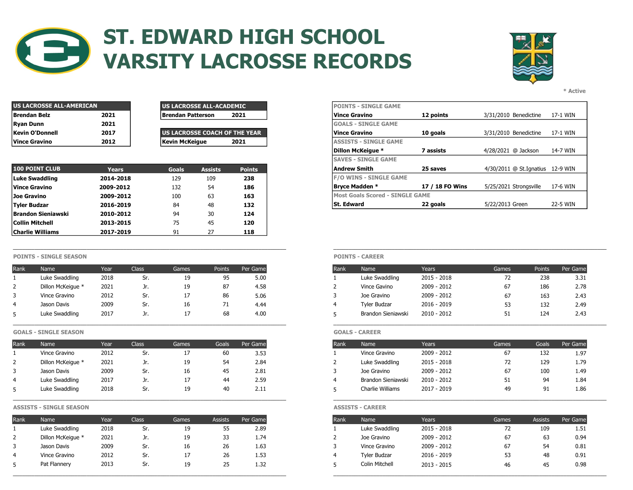

# ST. EDWARD HIGH SCHOOL VARSITY LACROSSE RECORDS



\* Active

| US LACROSSE ALL-AMERICAN |      | <b>US LACROSSE ALL-ACADEMIC</b> | <b>IPOINTS - SINGLE GAME</b>  |
|--------------------------|------|---------------------------------|-------------------------------|
| Brendan Belz             | 2021 | 2021<br>Brendan Patterson       | Vince Gravino                 |
| Ryan Dunn                | 2021 |                                 | <b>IGOALS - SINGLE GAME</b>   |
| Kevin O'Donnell          | 2017 | US LACROSSE COACH OF THE YEAR   | <b>Vince Gravino</b>          |
| <b>Vince Gravino</b>     | 2012 | Kevin McKeiaue<br>2021          | <b>IASSISTS - SINGLE GAME</b> |

| l US LACROSSE ALL-ACADEMIC            | <b>IPOINTS - SINGLE GAME</b> |
|---------------------------------------|------------------------------|
| <b>Brendan Patterson</b><br>2021      | Vince Gravino                |
|                                       | <b>GOALS - SINGLE GAME</b>   |
| <b>LUS LACROSSE COACH OF THE YEAR</b> | Vince Gravino                |
| Kevin McKeiaue<br>2021                | <b>ASSISTS - SINGLE GAME</b> |

| <b>100 POINT CLUB</b>   | <b>Years</b> | <b>Goals</b> | <b>Assists</b> | <b>Points</b> |
|-------------------------|--------------|--------------|----------------|---------------|
| Luke Swaddling          | 2014-2018    | 129          | 109            | 238           |
| <b>Vince Gravino</b>    | 2009-2012    | 132          | 54             | 186           |
| Joe Gravino             | 2009-2012    | 100          | 63             | 163           |
| Tyler Budzar            | 2016-2019    | 84           | 48             | 132           |
| Brandon Sieniawski      | 2010-2012    | 94           | 30             | 124           |
| <b>Collin Mitchell</b>  | 2013-2015    | 75           | 45             | 120           |
| <b>Charlie Williams</b> | 2017-2019    | 91           |                | 118           |

### POINTS - SINGLE SEASON POINTS - CAREER

| Rank | Name              | Year | Class | Games | <b>Points</b> | Per Game |
|------|-------------------|------|-------|-------|---------------|----------|
|      | Luke Swaddling    | 2018 | Sr.   | 19    |               | 5.00     |
|      | Dillon McKeique * | 2021 | Jr.   | 19    | 87            | 4.58     |
|      | Vince Gravino     | 2012 | Sr.   |       | 86            | 5.06     |
| 4    | Jason Davis       | 2009 | Sr.   | 16    |               | 4.44     |
|      | Luke Swaddling    | 2017 | Jr.   |       | 68            | 4.00     |

GOALS - SINGLE SEASON GOALS - CAREER

| Rank   | Name              | Year | Class | Games | Goals | Per Game |
|--------|-------------------|------|-------|-------|-------|----------|
|        | Vince Gravino     | 2012 | Sr.   |       | 60    | 3.53     |
| $\sim$ | Dillon McKeigue * | 2021 | JI.   | 19    | 54    | 2.84     |
| 3      | Jason Davis       | 2009 | Sr.   | 16    | 45    | 2.81     |
| 4      | Luke Swaddling    | 2017 | JI.   |       | 44    | 2.59     |
|        | Luke Swaddling    | 2018 | Sr.   | 19    | 40    | 2.11     |

## ASSISTS - SINGLE SEASON ASSISTS - CAREER

| Rank | Name              | Year | Class | Games   | Assists | Per Game |
|------|-------------------|------|-------|---------|---------|----------|
|      | Luke Swaddling    | 2018 | Sr.   | ᆠ       | 55      | 2.89     |
| 2    | Dillon McKeique * | 2021 | Jr.   | 19      | ັ       | 1.74     |
|      | Jason Davis       | 2009 | Sr.   | 16      | 26      | 1.63     |
| 4    | Vince Gravino     | 2012 | Sr.   | $\pm I$ | 26      | 1.53     |
|      | Pat Flannery      | 2013 | Sr.   | ᅩ       | 25      | 1.32     |

| US LACROSSE ALL-AMERICAN |              |                          | <b>US LACROSSE ALL-ACADEMIC</b> |               |
|--------------------------|--------------|--------------------------|---------------------------------|---------------|
| Brendan Belz             | 2021         | <b>Brendan Patterson</b> |                                 | 2021          |
| Ryan Dunn                | 2021         |                          |                                 |               |
| Kevin O'Donnell          | 2017         |                          | US LACROSSE COACH OF THE YEAR   |               |
| Vince Gravino            | 2012         | Kevin McKeigue           |                                 | 2021          |
|                          |              |                          |                                 |               |
|                          |              |                          |                                 |               |
| <b>100 POINT CLUB</b>    | <b>Years</b> | <b>Goals</b>             | <b>Assists</b>                  | <b>Points</b> |
| Luke Swaddling           | 2014-2018    | 129                      | 109                             | 238           |
| Vince Gravino            | 2009-2012    | 132                      | 54                              | 186           |
| Joe Gravino              | 2009-2012    | 100                      | 63                              | 163           |
| Tyler Budzar             | 2016-2019    | 84                       | 48                              | 132           |

\_\_\_\_\_\_\_\_\_\_\_\_\_\_\_\_\_\_\_\_\_\_\_\_\_\_\_\_\_\_\_\_\_\_\_\_\_\_\_\_\_\_\_\_\_\_\_\_\_\_\_\_\_\_\_\_\_\_\_\_\_\_\_\_\_\_\_\_\_\_\_\_\_\_\_\_\_\_\_\_\_\_\_\_\_\_\_\_\_ \_\_\_\_\_\_\_\_\_\_\_\_\_\_\_\_\_\_\_\_\_\_\_\_\_\_\_\_\_\_\_\_\_\_\_\_\_\_\_\_\_\_\_\_\_\_\_\_\_\_\_\_\_\_\_\_\_\_\_\_\_\_\_\_\_\_\_\_\_\_\_\_\_\_\_\_\_\_\_\_\_\_\_\_\_\_\_\_\_

| Rank | Name              | Year | Class | Games    | Points | Per Game |
|------|-------------------|------|-------|----------|--------|----------|
|      | Luke Swaddling    | 2018 | Sr.   | 19       | 95     | 5.00     |
|      | Dillon McKeique * | 2021 | Jr.   | 19       | 87     | 4.58     |
|      | Vince Gravino     | 2012 | Sr.   | 17       | 86     | 5.06     |
|      | Jason Davis       | 2009 | Sr.   | 16       |        | 4.44     |
|      | Luke Swaddling    | 2017 | ᅫ.    | <b>L</b> | 68     | 4.00     |

| Rank | <b>Name</b>        | Years       | Games | Goals | Per Game |
|------|--------------------|-------------|-------|-------|----------|
|      | Vince Gravino      | 2009 - 2012 | 67    | 132   | 1.97     |
| 2    | Luke Swaddling     | 2015 - 2018 | 72    | 129   | 1.79     |
| 3    | Joe Gravino        | 2009 - 2012 | 67    | 100   | 1.49     |
| 4    | Brandon Sieniawski | 2010 - 2012 | 51    | 94    | 1.84     |
|      | Charlie Williams   | 2017 - 2019 | 49    | 91    | 1.86     |

| Rank | Name              | Year | Class | Games   | <b>Assists</b>   | Per Game |
|------|-------------------|------|-------|---------|------------------|----------|
|      | Luke Swaddling    | 2018 | Sr.   | ᆠ       | ں ر              | 2.89     |
|      | Dillon McKeigue * | 2021 | JI.   | 19      | 33               | 1.74     |
|      | Jason Davis       | 2009 | Sr.   | 16      | 26               | 1.63     |
|      | Vince Gravino     | 2012 | Sr.   | $\pm I$ | 26               | 1.53     |
|      | Pat Flannery      | 2013 | Sr.   |         | $\sim$ $-$<br>25 | 1.32     |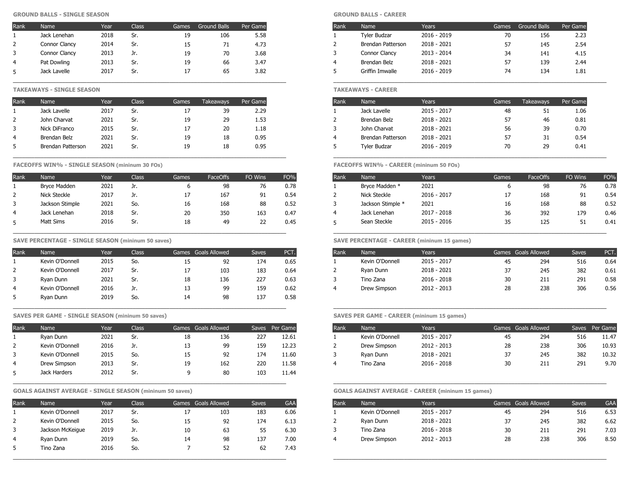### GROUND BALLS - SINGLE SEASON GROUND BALLS - CAREER

| Rank       | <b>Name</b>   | Year | Class      | Games | <b>Ground Balls</b> | Per Game |
|------------|---------------|------|------------|-------|---------------------|----------|
|            | Jack Lenehan  | 2018 | Sr.        | 19    | 106                 | 5.58     |
| $\epsilon$ | Connor Clancy | 2014 | Sr.        | 15    | , 1                 | 4.73     |
|            | Connor Clancy | 2013 | <b>JI.</b> | 19    | 70                  | 3.68     |
| 4          | Pat Dowling   | 2013 | Sr.        | 19    |                     | 3.47     |
|            | Jack Lavelle  | 2017 | Sr.        |       | 65                  | 3.82     |

### TAKEAWAYS - SINGLE SEASON TAKEAWAYS - CAREER

| <b>Takeaways</b> | Per Game |
|------------------|----------|
| 39               | 2.29     |
| 29               | 1.53     |
| 20               | 1.18     |
| 18               | 0.95     |
| 18               | 0.95     |
|                  |          |

### FACEOFFS WIN% - SINGLE SEASON (mininum 30 FOs) SALE TRANSPORT CONTROL TO THE SEASON OF THE SEASON (MININUM 50 FOS)

| Rank           | Name            | Year | <b>Class</b> | Games | <b>FaceOffs</b> | FO Wins | FO%  |
|----------------|-----------------|------|--------------|-------|-----------------|---------|------|
|                | Bryce Madden    | 2021 | Jr.          | 6     | 98              | 76      | 0.78 |
| 2              | Nick Steckle    | 2017 | Jr.          | 17    | 167             | 91      | 0.54 |
| 3              | Jackson Stimple | 2021 | So.          | 16    | 168             | 88      | 0.52 |
| $\overline{4}$ | Jack Lenehan    | 2018 | Sr.          | 20    | 350             | 163     | 0.47 |
| 5              | Matt Sims       | 2016 | Sr.          | 18    | 49              | 22      | 0.45 |

### SAVE PERCENTAGE - SINGLE SEASON (mininum 50 saves) SAVE PERCENTAGE - CAREER (mininum 15 games)

| Rank     | Name            | Year | Class <sup>1</sup> |    | Games Goals Allowed | <b>Saves</b> | PCT. | Rank | Name            | Years         | Games Goals Allowed |     | <b>Saves</b> | PCT. |
|----------|-----------------|------|--------------------|----|---------------------|--------------|------|------|-----------------|---------------|---------------------|-----|--------------|------|
|          | Kevin O'Donnell | 2015 | So.                | ᅩ  | 92                  | 174          | 0.65 |      | Kevin O'Donnell | 2015 - 2017   | 45                  | 294 | 516          | 0.64 |
| <u>.</u> | Kevin O'Donnell | 2017 | C۳.<br>ات          |    | 103                 | 183          | 0.64 |      | Ryan Dunn       | 2018 - 2021   | 37                  | 245 | 382          | 0.61 |
| ┘        | Ryan Dunn       | 2021 | $c_{r}$<br>، اد    | 18 | 136                 | 227          | 0.63 |      | Tino Zana       | $2016 - 2018$ | 30                  | 211 | 291          | 0.58 |
| 4        | Kevin O'Donnell | 2016 |                    | ᅩ  | 99                  | 159          | 0.62 |      | Drew Simpson    | 2012 - 2013   | 28                  | 238 | 306          | 0.56 |
|          | Ryan Dunn       | 2019 | So.                | 14 | 98                  | 137          | 0.58 |      |                 |               |                     |     |              |      |
|          |                 |      |                    |    |                     |              |      |      |                 |               |                     |     |              |      |

### SAVES PER GAME - SINGLE SEASON (mininum 50 saves) SAVES PER GAME - CAREER (mininum 15 games)

| Rank     | Name            | Year | <b>Class</b> |    | Games Goals Allowed |     | Saves Per Game | Rank | Name            | <b>Years</b> |    | Games Goals Allowed | Saves Per Ga |    |
|----------|-----------------|------|--------------|----|---------------------|-----|----------------|------|-----------------|--------------|----|---------------------|--------------|----|
|          | Ryan Dunn       | 2021 | Sr.          | 18 | 136                 | 227 | 12.61          |      | Kevin O'Donnell | 2015 - 2017  | 45 | 294                 | 516          | 11 |
| <u>.</u> | Kevin O'Donnell | 2016 | JI.          | 13 | 99                  | 159 | 12.23          | -    | Drew Simpson    | 2012 - 2013  | 28 | 238                 | 306          | 10 |
|          | Kevin O'Donnell | 2015 | So.          | 15 | 92                  | 174 | 11.60          |      | Ryan Dunn       | 2018 - 2021  | 37 | 245                 | 382          | 10 |
| 4        | Drew Simpson    | 2013 | Sr.          | 19 | 162                 | 220 | 11.58          |      | Tino Zana       | 2016 - 2018  | 30 | 211                 | 291          |    |
|          | Jack Harders    | 2012 | Sr.          |    | 80                  | 103 | 11.44          |      |                 |              |    |                     |              |    |
|          |                 |      |              |    |                     |     |                |      |                 |              |    |                     |              |    |

# GOALS AGAINST AVERAGE - SINGLE SEASON (mininum 50 saves) GOALS AGAINST AVERAGE - CAREER (mininum 15 games)

| Rank     | Name             | Year | Class | Games Goals Allowed |     | <b>Saves</b> | <b>GAA</b> | Rank | Name            | Years       | Games Goals Allowed |     | Saves | <b>GAA</b> |
|----------|------------------|------|-------|---------------------|-----|--------------|------------|------|-----------------|-------------|---------------------|-----|-------|------------|
|          | Kevin O'Donnell  | 2017 | Sr.   | 17                  | 103 | 183          | 6.06       |      | Kevin O'Donnell | 2015 - 2017 | 45                  | 294 | 516   | 6.53       |
| <u>_</u> | Kevin O'Donnell  | 2015 | So.   | 15                  | 92  | 174          | 6.13       |      | Ryan Dunn       | 2018 - 2021 | 37                  | 245 | 382   | 6.62       |
| 3        | Jackson McKeigue | 2019 | Jr.   | 10                  | 63  |              | 6.30       |      | Tino Zana       | 2016 - 2018 | 30                  | 211 | 291   | 7.03       |
| 4        | Ryan Dunn        | 2019 | So.   | 14                  | 98  | 137          | 7.00       |      | Drew Simpson    | 2012 - 2013 | 28                  | 238 | 306   | 8.50       |
| 5        | Tino Zana        | 2016 | So.   |                     | 52  | 62           | 7.43       |      |                 |             |                     |     |       |            |
|          |                  |      |       |                     |     |              |            |      |                 |             |                     |     |       |            |

| Rank | Name          | Year | Class | Games   | <b>Ground Balls</b> | Per Game |
|------|---------------|------|-------|---------|---------------------|----------|
|      | Jack Lenehan  | 2018 | Sr.   | 19      | 106                 | 5.58     |
|      | Connor Clancy | 2014 | Sr.   | ᆠ       | 7 L                 | 4.73     |
|      | Connor Clancy | 2013 | Jr.   | 19      | 70                  | 3.68     |
|      | Pat Dowling   | 2013 | Sr.   | 19      | 66                  | 3.47     |
|      | Jack Lavelle  | 2017 | Sr.   | $\pm I$ | 65                  | 3.82     |

| Rank | Name                     | Year | Class       | Games   | Takeaways | Per Game |
|------|--------------------------|------|-------------|---------|-----------|----------|
|      | Jack Lavelle             | 2017 | ۲r.<br>. اد | $\pm I$ | 39        | 2.29     |
|      | John Charvat             | 2021 | Sr.         | 19      | 29        | 1.53     |
|      | Nick DiFranco            | 2015 | Sr.         | $\pm I$ | 20        | 1.18     |
|      | Brendan Belz             | 2021 | Sr.         | 19      | 18        | 0.95     |
|      | <b>Brendan Patterson</b> | 2021 | Sr.         | 19      | 18        | 0.95     |

| Rank | <b>Name</b>         | Year | Class. | Games | <b>FaceOffs</b> | FO Wins | FO%  | Rank | <b>Name</b>       | Years       | Games | <b>FaceOffs</b> | FO Wins   | FO%  |
|------|---------------------|------|--------|-------|-----------------|---------|------|------|-------------------|-------------|-------|-----------------|-----------|------|
|      | Bryce Madden        | 2021 | Jr.    |       | 98              | 76      | 0.78 |      | Bryce Madden *    | 2021        |       | 98              | 76        | 0.78 |
|      | <b>Nick Steckle</b> | 2017 | Jr.    |       | 167             | 91      | 0.54 |      | Nick Steckle      | 2016 - 2017 |       | 168             | 91        | 0.54 |
|      | Jackson Stimple     | 2021 | So.    | 16    | 168             | 88      | 0.52 |      | Jackson Stimple * | 2021        | 16    | 168             | 88        | 0.52 |
|      | Jack Lenehan        | 2018 | Sr.    | 20    | 350             | 163     | 0.47 |      | Jack Lenehan      | 2017 - 2018 | 36    | 392             | 179       | 0.46 |
|      | Matt Sims           | 2016 | Sr.    | 18    | 49              | 22      | 0.45 |      | Sean Steckle      | 2015 - 2016 | 35    | 125             | 51<br>⊥ ب | 0.41 |
|      |                     |      |        |       |                 |         |      |      |                   |             |       |                 |           |      |

| Rank | Name            | Years         |    | Games Goals Allowed | Saves | PCT. |
|------|-----------------|---------------|----|---------------------|-------|------|
|      | Kevin O'Donnell | 2015 - 2017   | 45 | 294                 | 516   | 0.64 |
|      | Rvan Dunn       | 2018 - 2021   | 37 | 245                 | 382   | 0.61 |
| 3    | Tino Zana       | $2016 - 2018$ | 30 | 211                 | 291   | 0.58 |
| 4    | Drew Simpson    | 2012 - 2013   | 28 | 238                 | 306   | 0.56 |
|      |                 |               |    |                     |       |      |

| Rank | <b>Name</b>     | Year | Class, | Goals Allowed<br>Games |     | Saves | Per Game | Rank | Name            | Years         |    | Games Goals Allowed | Saves | Per Game |
|------|-----------------|------|--------|------------------------|-----|-------|----------|------|-----------------|---------------|----|---------------------|-------|----------|
|      | Ryan Dunn       | 2021 | . اب   | 18                     | 136 | 227   | 12.61    |      | Kevin O'Donnell | 2015 - 2017   |    | 294                 | 516   | 11.47    |
|      | Kevin O'Donnell | 2016 | Jr.    |                        | 99  | 159   | 12.23    |      | Drew Simpson    | 2012 - 2013   | 28 | 238                 | 306   | 10.93    |
|      | Kevin O'Donnell | 2015 | So.    | ᅩ                      | 92  | 174   | 11.60    |      | Ryan Dunn       | 2018 - 2021   | n. | 245                 | 382   | 10.32    |
|      | Drew Simpson    | 2013 | . اب   |                        | 162 | 220   | 11.58    |      | Tino Zana       | $2016 - 2018$ | 30 | 211                 | 291   | 9.70     |
|      |                 |      |        |                        |     |       |          |      |                 |               |    |                     |       |          |

| Rank | Name            | Years.      |    | Games Goals Allowed | <b>Saves</b> | <b>GAA</b> |
|------|-----------------|-------------|----|---------------------|--------------|------------|
|      | Kevin O'Donnell | 2015 - 2017 | 45 | 294                 | 516          | 6.53       |
|      | Ryan Dunn       | 2018 - 2021 | 37 | 245                 | 382          | 6.62       |
| 3    | Tino Zana       | 2016 - 2018 | 30 | 211                 | 291          | 7.03       |
| 4    | Drew Simpson    | 2012 - 2013 | 28 | 238                 | 306          | 8.50       |
|      |                 |             |    |                     |              |            |